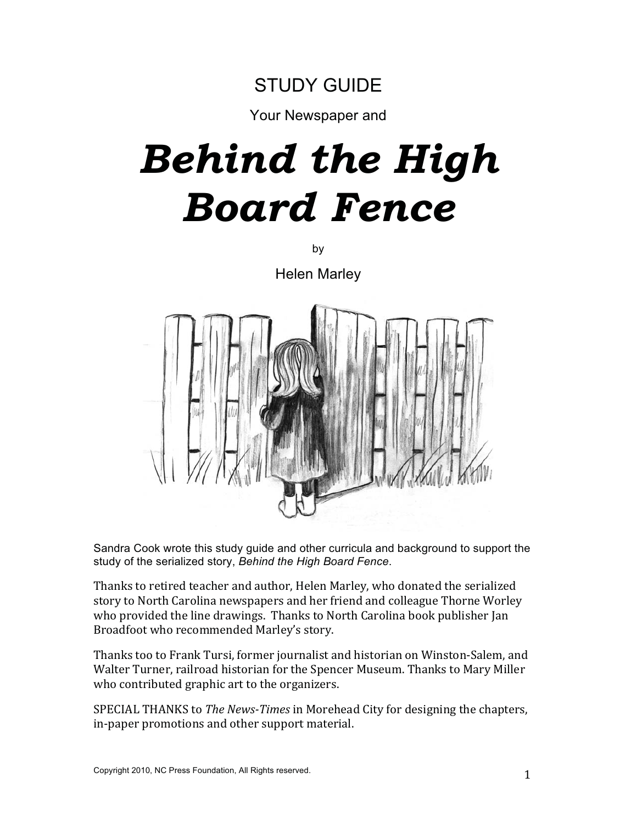

Your Newspaper and

# *Behind the High Board Fence*

by

Helen Marley



Sandra Cook wrote this study guide and other curricula and background to support the study of the serialized story, *Behind the High Board Fence*.

Thanks to retired teacher and author. Helen Marley, who donated the serialized story to North Carolina newspapers and her friend and colleague Thorne Worley who provided the line drawings. Thanks to North Carolina book publisher Jan Broadfoot who recommended Marley's story.

Thanks too to Frank Tursi, former journalist and historian on Winston-Salem, and Walter Turner, railroad historian for the Spencer Museum. Thanks to Mary Miller who contributed graphic art to the organizers.

SPECIAL THANKS to *The News-Times* in Morehead City for designing the chapters. in-paper promotions and other support material.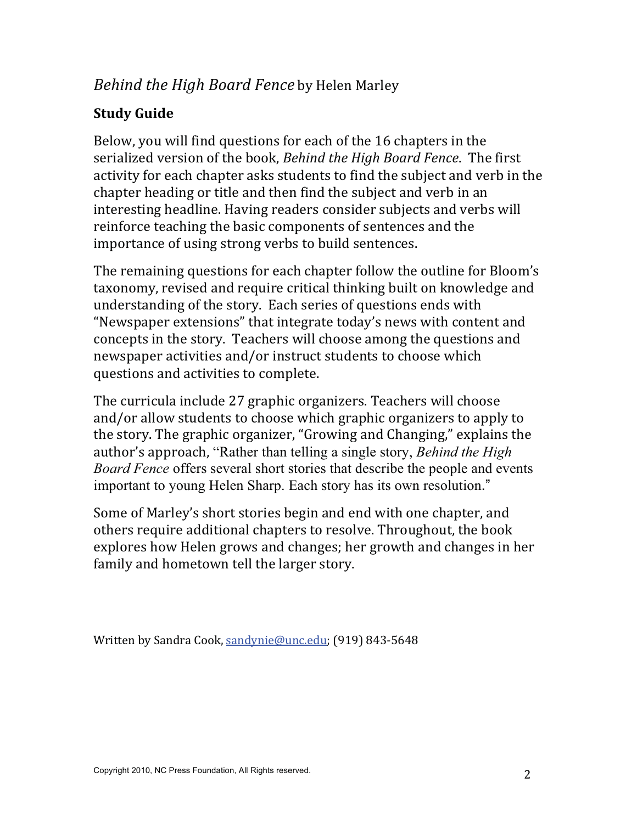# Behind the High Board Fence by Helen Marley

# **Study Guide**

Below, you will find questions for each of the 16 chapters in the serialized version of the book. *Behind the High Board Fence*. The first activity for each chapter asks students to find the subiect and verb in the chapter heading or title and then find the subject and verb in an interesting headline. Having readers consider subiects and verbs will  $r$ einforce teaching the basic components of sentences and the  $\overline{r}$  $\mu$  importance of using strong verbs to build sentences.

The remaining questions for each chapter follow the outline for Bloom's taxonomy, revised and require critical thinking built on knowledge and understanding of the story. Each series of questions ends with "Newspaper extensions" that integrate today's news with content and concepts in the story. Teachers will choose among the questions and newspaper activities and/or instruct students to choose which questions and activities to complete.

The curricula include 27 graphic organizers. Teachers will choose and/or allow students to choose which graphic organizers to apply to the story. The graphic organizer, "Growing and Changing," explains the author's approach, "Rather than telling a single story, *Behind the High Board Fence* offers several short stories that describe the people and events important to young Helen Sharp. Each story has its own resolution."

Some of Marley's short stories begin and end with one chapter, and others require additional chapters to resolve. Throughout, the book explores how Helen grows and changes: her growth and changes in her family and hometown tell the larger story.

 $W$ ritten by Sandra Cook, sandynie@unc.edu: (919) 843-5648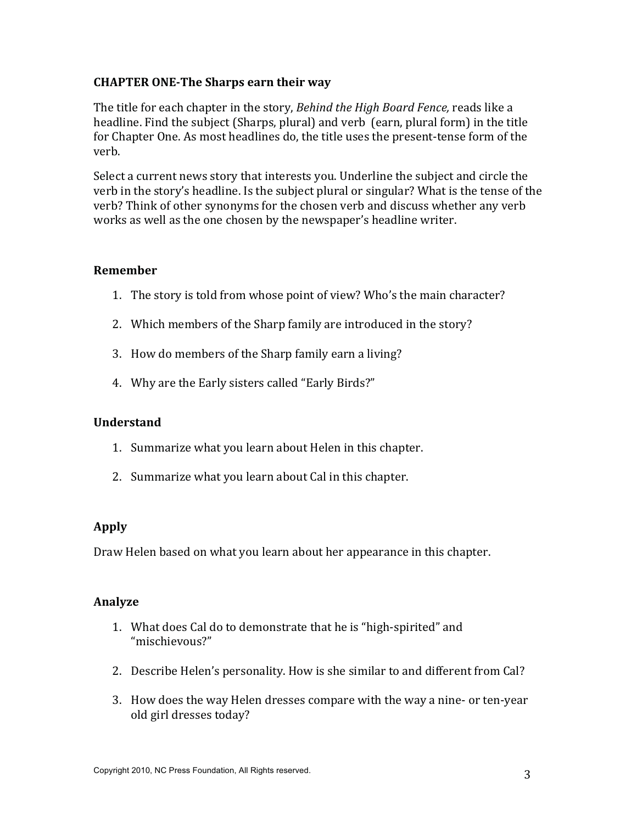# **CHAPTER ONE-The Sharps earn their way**

The title for each chapter in the story, Behind the High Board Fence, reads like a headline. Find the subject (Sharps, plural) and verb (earn, plural form) in the title for Chapter One. As most headlines do, the title uses the present-tense form of the verb.

Select a current news story that interests you. Underline the subject and circle the verb in the story's headline. Is the subject plural or singular? What is the tense of the verb? Think of other synonyms for the chosen verb and discuss whether any verb works as well as the one chosen by the newspaper's headline writer.

#### **Remember**

- 1. The story is told from whose point of view? Who's the main character?
- 2. Which members of the Sharp family are introduced in the story?
- 3. How do members of the Sharp family earn a living?
- 4. Why are the Early sisters called "Early Birds?"

#### **Understand**

- 1. Summarize what you learn about Helen in this chapter.
- 2. Summarize what you learn about Cal in this chapter.

# **Apply**

Draw Helen based on what you learn about her appearance in this chapter.

#### Analyze

- 1. What does Cal do to demonstrate that he is "high-spirited" and "mischievous?"
- 2. Describe Helen's personality. How is she similar to and different from Cal?
- 3. How does the way Helen dresses compare with the way a nine- or ten-year old girl dresses today?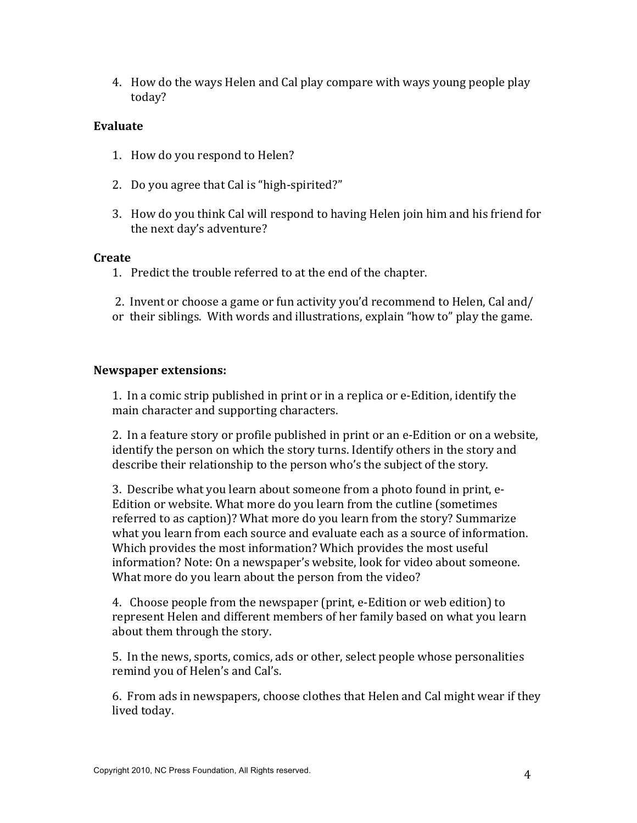4. How do the ways Helen and Cal play compare with ways young people play today?

# Evaluate

- 1. How do you respond to Helen?
- 2. Do you agree that Cal is "high-spirited?"
- 3. How do you think Cal will respond to having Helen join him and his friend for the next day's adventure?

#### **Create**

- 1. Predict the trouble referred to at the end of the chapter.
- 2. Invent or choose a game or fun activity you'd recommend to Helen, Cal and/ or their siblings. With words and illustrations, explain "how to" play the game.

#### **Newspaper extensions:**

1. In a comic strip published in print or in a replica or e-Edition, identify the main character and supporting characters.

2. In a feature story or profile published in print or an e-Edition or on a website. identify the person on which the story turns. Identify others in the story and describe their relationship to the person who's the subject of the story.

3. Describe what you learn about someone from a photo found in print, e-Edition or website. What more do you learn from the cutline (sometimes referred to as caption)? What more do you learn from the story? Summarize what you learn from each source and evaluate each as a source of information. Which provides the most information? Which provides the most useful information? Note: On a newspaper's website, look for video about someone. What more do you learn about the person from the video?

4. Choose people from the newspaper (print, e-Edition or web edition) to represent Helen and different members of her family based on what you learn about them through the story.

5. In the news, sports, comics, ads or other, select people whose personalities remind you of Helen's and Cal's.

6. From ads in newspapers, choose clothes that Helen and Cal might wear if they lived today.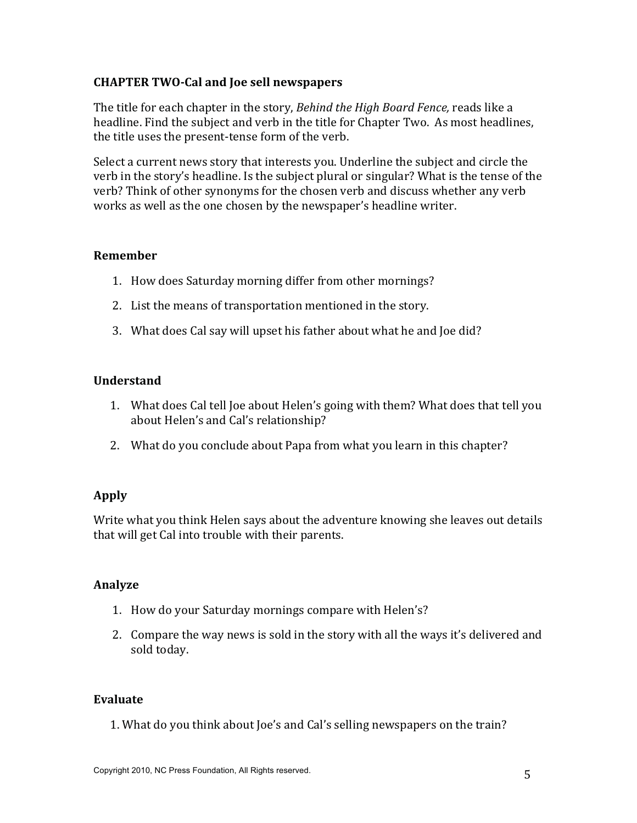# **CHAPTER TWO-Cal and Joe sell newspapers**

The title for each chapter in the story, Behind the High Board Fence, reads like a headline. Find the subject and verb in the title for Chapter Two. As most headlines, the title uses the present-tense form of the verb.

Select a current news story that interests you. Underline the subject and circle the verb in the story's headline. Is the subject plural or singular? What is the tense of the verb? Think of other synonyms for the chosen verb and discuss whether any verb works as well as the one chosen by the newspaper's headline writer.

# **Remember**

- 1. How does Saturday morning differ from other mornings?
- 2. List the means of transportation mentioned in the story.
- 3. What does Cal say will upset his father about what he and Joe did?

# **Understand**

- 1. What does Cal tell Joe about Helen's going with them? What does that tell you about Helen's and Cal's relationship?
- 2. What do you conclude about Papa from what you learn in this chapter?

# Apply

Write what you think Helen says about the adventure knowing she leaves out details that will get Cal into trouble with their parents.

#### **Analyze**

- 1. How do your Saturday mornings compare with Helen's?
- 2. Compare the way news is sold in the story with all the ways it's delivered and sold today.

#### Evaluate

1. What do you think about Joe's and Cal's selling newspapers on the train?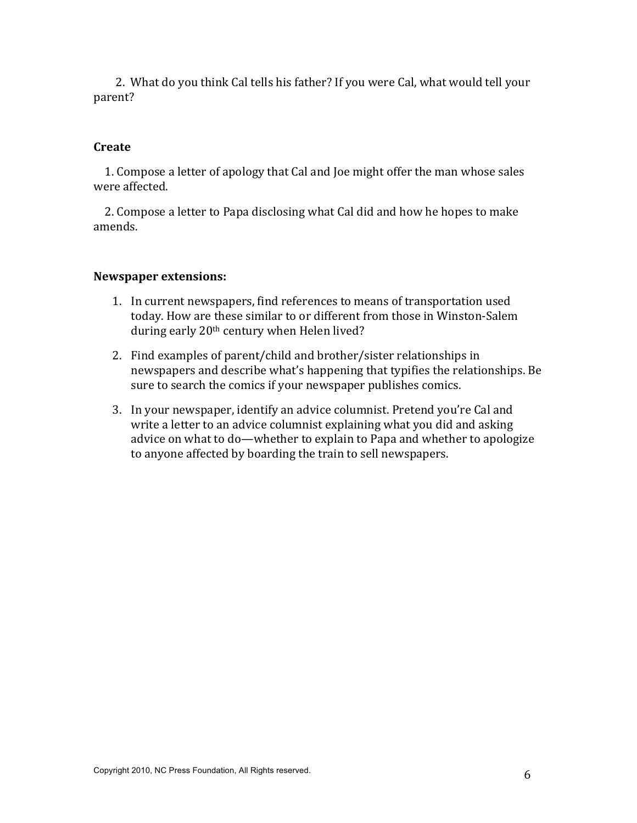2. What do you think Cal tells his father? If you were Cal, what would tell your parent?

# **Create**

1. Compose a letter of apology that Cal and Joe might offer the man whose sales were affected.

2. Compose a letter to Papa disclosing what Cal did and how he hopes to make amends.

- 1. In current newspapers, find references to means of transportation used today. How are these similar to or different from those in Winston-Salem during early 20<sup>th</sup> century when Helen lived?
- 2. Find examples of parent/child and brother/sister relationships in newspapers and describe what's happening that typifies the relationships. Be sure to search the comics if your newspaper publishes comics.
- 3. In your newspaper, identify an advice columnist. Pretend you're Cal and write a letter to an advice columnist explaining what you did and asking advice on what to do-whether to explain to Papa and whether to apologize to anyone affected by boarding the train to sell newspapers.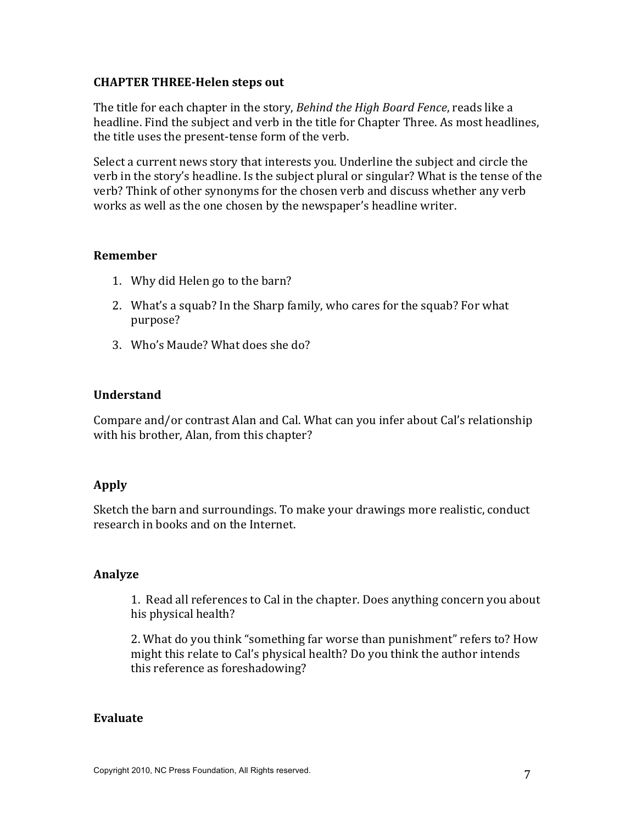# **CHAPTER THREE-Helen steps out**

The title for each chapter in the story, *Behind the High Board Fence*, reads like a headline. Find the subject and verb in the title for Chapter Three. As most headlines, the title uses the present-tense form of the verb.

Select a current news story that interests you. Underline the subject and circle the verb in the story's headline. Is the subject plural or singular? What is the tense of the verb? Think of other synonyms for the chosen verb and discuss whether any verb works as well as the one chosen by the newspaper's headline writer.

#### **Remember**

- 1. Why did Helen go to the barn?
- 2. What's a squab? In the Sharp family, who cares for the squab? For what purpose?
- 3. Who's Maude? What does she do?

# **Understand**

Compare and/or contrast Alan and Cal. What can you infer about Cal's relationship with his brother, Alan, from this chapter?

# **Apply**

Sketch the barn and surroundings. To make your drawings more realistic, conduct research in books and on the Internet.

# **Analyze**

1. Read all references to Cal in the chapter. Does anything concern you about his physical health?

2. What do you think "something far worse than punishment" refers to? How might this relate to Cal's physical health? Do you think the author intends this reference as foreshadowing?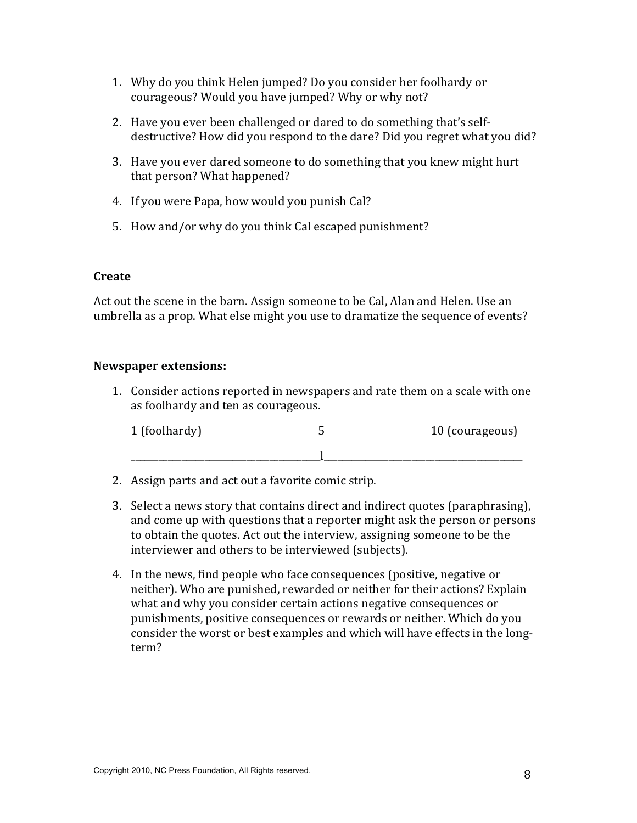- 1. Why do you think Helen jumped? Do you consider her foolhardy or courageous? Would you have jumped? Why or why not?
- 2. Have you ever been challenged or dared to do something that's selfdestructive? How did you respond to the dare? Did you regret what you did?
- 3. Have you ever dared someone to do something that you knew might hurt that person? What happened?
- 4. If you were Papa, how would you punish Cal?
- 5. How and/or why do you think Cal escaped punishment?

Act out the scene in the barn. Assign someone to be Cal, Alan and Helen. Use an umbrella as a prop. What else might you use to dramatize the sequence of events?

# **Newspaper extensions:**

1. Consider actions reported in newspapers and rate them on a scale with one as foolhardy and ten as courageous.

| 1 (foolhardy) | 10 (courageous) |
|---------------|-----------------|
|               |                 |

- 2. Assign parts and act out a favorite comic strip.
- 3. Select a news story that contains direct and indirect quotes (paraphrasing), and come up with questions that a reporter might ask the person or persons to obtain the quotes. Act out the interview, assigning someone to be the interviewer and others to be interviewed (subjects).
- 4. In the news, find people who face consequences (positive, negative or neither). Who are punished, rewarded or neither for their actions? Explain what and why you consider certain actions negative consequences or punishments, positive consequences or rewards or neither. Which do you consider the worst or best examples and which will have effects in the longterm?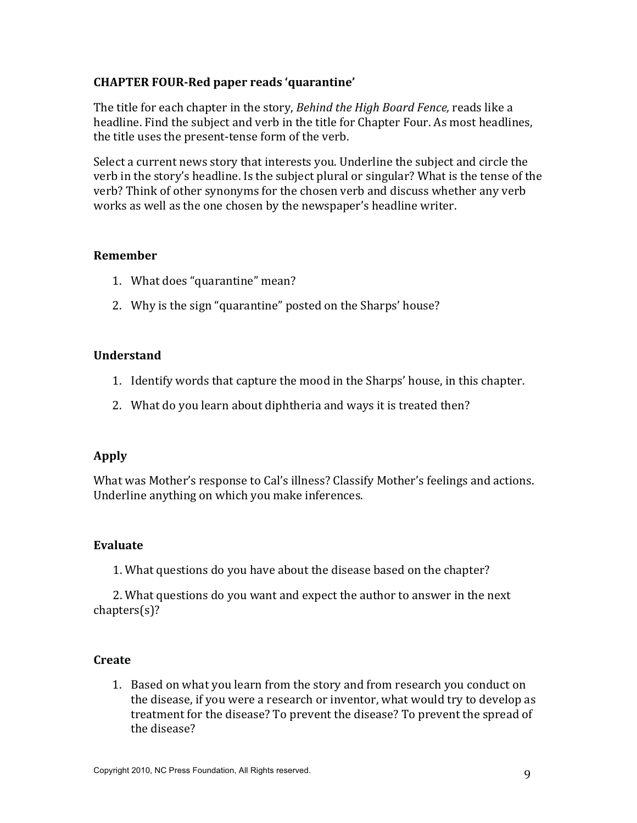# **CHAPTER FOUR-Red paper reads 'quarantine'**

The title for each chapter in the story, Behind the High Board Fence, reads like a headline. Find the subject and verb in the title for Chapter Four. As most headlines, the title uses the present-tense form of the verb.

Select a current news story that interests you. Underline the subject and circle the verb in the story's headline. Is the subject plural or singular? What is the tense of the verb? Think of other synonyms for the chosen verb and discuss whether any verb works as well as the one chosen by the newspaper's headline writer.

# Remember

- 1. What does "quarantine" mean?
- 2. Why is the sign "quarantine" posted on the Sharps' house?

# **Understand**

- 1. Identify words that capture the mood in the Sharps' house, in this chapter.
- 2. What do you learn about diphtheria and ways it is treated then?

# Apply

What was Mother's response to Cal's illness? Classify Mother's feelings and actions. Underline anything on which you make inferences.

# Evaluate

1. What questions do you have about the disease based on the chapter?

2. What questions do you want and expect the author to answer in the next  $chapters(s)?$ 

# **Create**

1. Based on what you learn from the story and from research you conduct on the disease, if you were a research or inventor, what would try to develop as treatment for the disease? To prevent the disease? To prevent the spread of the disease?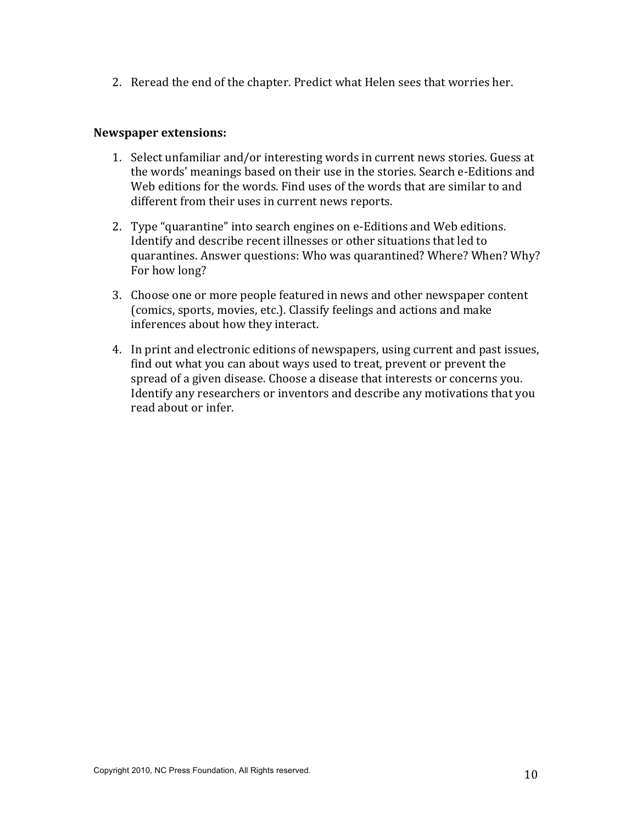2. Reread the end of the chapter. Predict what Helen sees that worries her.

- 1. Select unfamiliar and/or interesting words in current news stories. Guess at the words' meanings based on their use in the stories. Search e-Editions and Web editions for the words. Find uses of the words that are similar to and different from their uses in current news reports.
- 2. Type "quarantine" into search engines on e-Editions and Web editions. Identify and describe recent illnesses or other situations that led to quarantines. Answer questions: Who was quarantined? Where? When? Why? For how long?
- 3. Choose one or more people featured in news and other newspaper content (comics, sports, movies, etc.). Classify feelings and actions and make inferences about how they interact.
- 4. In print and electronic editions of newspapers, using current and past issues, find out what you can about ways used to treat, prevent or prevent the spread of a given disease. Choose a disease that interests or concerns you. Identify any researchers or inventors and describe any motivations that you read about or infer.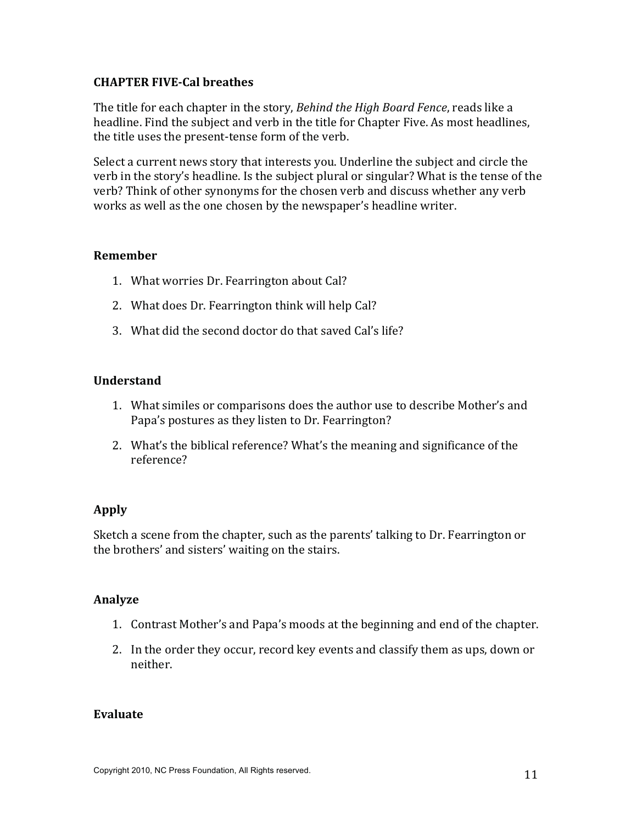# **CHAPTER FIVE-Cal breathes**

The title for each chapter in the story, *Behind the High Board Fence*, reads like a headline. Find the subject and verb in the title for Chapter Five. As most headlines, the title uses the present-tense form of the verb.

Select a current news story that interests you. Underline the subject and circle the verb in the story's headline. Is the subject plural or singular? What is the tense of the verb? Think of other synonyms for the chosen verb and discuss whether any verb works as well as the one chosen by the newspaper's headline writer.

# **Remember**

- 1. What worries Dr. Fearrington about Cal?
- 2. What does Dr. Fearrington think will help Cal?
- 3. What did the second doctor do that saved Cal's life?

# **Understand**

- 1. What similes or comparisons does the author use to describe Mother's and Papa's postures as they listen to Dr. Fearrington?
- 2. What's the biblical reference? What's the meaning and significance of the reference?

# **Apply**

Sketch a scene from the chapter, such as the parents' talking to Dr. Fearrington or the brothers' and sisters' waiting on the stairs.

# **Analyze**

- 1. Contrast Mother's and Papa's moods at the beginning and end of the chapter.
- 2. In the order they occur, record key events and classify them as ups, down or neither.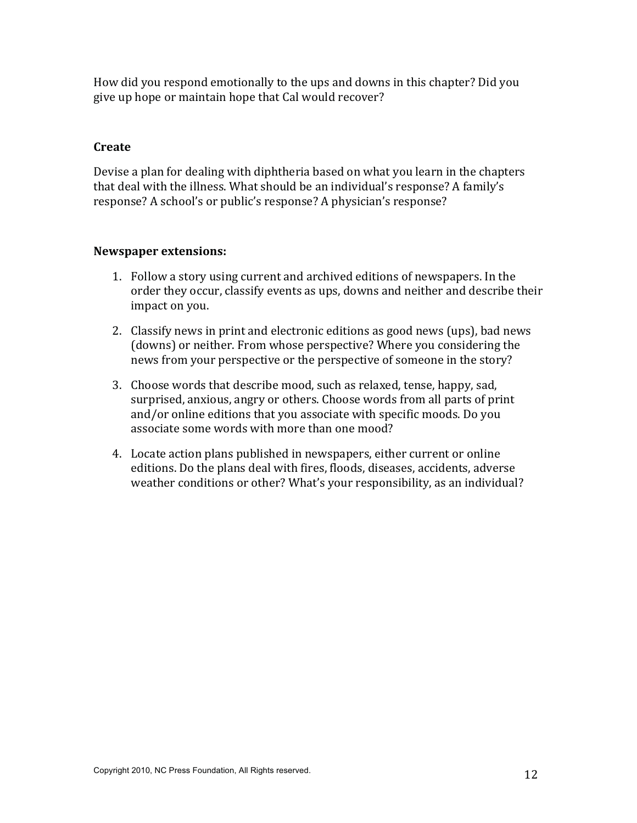How did you respond emotionally to the ups and downs in this chapter? Did you give up hope or maintain hope that Cal would recover?

# **Create**

Devise a plan for dealing with diphtheria based on what you learn in the chapters that deal with the illness. What should be an individual's response? A family's response? A school's or public's response? A physician's response?

- 1. Follow a story using current and archived editions of newspapers. In the order they occur, classify events as ups, downs and neither and describe their impact on you.
- 2. Classify news in print and electronic editions as good news (ups), bad news (downs) or neither. From whose perspective? Where you considering the news from your perspective or the perspective of someone in the story?
- 3. Choose words that describe mood, such as relaxed, tense, happy, sad, surprised, anxious, angry or others. Choose words from all parts of print and/or online editions that you associate with specific moods. Do you associate some words with more than one mood?
- 4. Locate action plans published in newspapers, either current or online editions. Do the plans deal with fires, floods, diseases, accidents, adverse weather conditions or other? What's your responsibility, as an individual?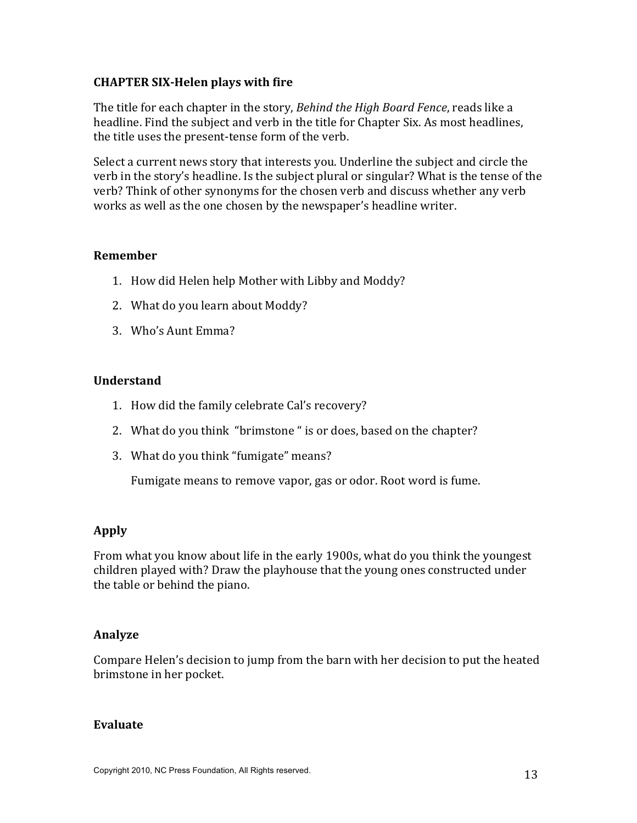# **CHAPTER SIX-Helen plays with fire**

The title for each chapter in the story, *Behind the High Board Fence*, reads like a headline. Find the subject and verb in the title for Chapter Six. As most headlines, the title uses the present-tense form of the verb.

Select a current news story that interests you. Underline the subject and circle the verb in the story's headline. Is the subject plural or singular? What is the tense of the verb? Think of other synonyms for the chosen verb and discuss whether any verb works as well as the one chosen by the newspaper's headline writer.

#### **Remember**

- 1. How did Helen help Mother with Libby and Moddy?
- 2. What do you learn about Moddy?
- 3. Who's Aunt Emma?

# **Understand**

- 1. How did the family celebrate Cal's recovery?
- 2. What do you think "brimstone" is or does, based on the chapter?
- 3. What do you think "fumigate" means?

Fumigate means to remove vapor, gas or odor. Root word is fume.

#### **Apply**

From what you know about life in the early 1900s, what do you think the youngest children played with? Draw the playhouse that the young ones constructed under the table or behind the piano.

#### **Analyze**

Compare Helen's decision to jump from the barn with her decision to put the heated brimstone in her pocket.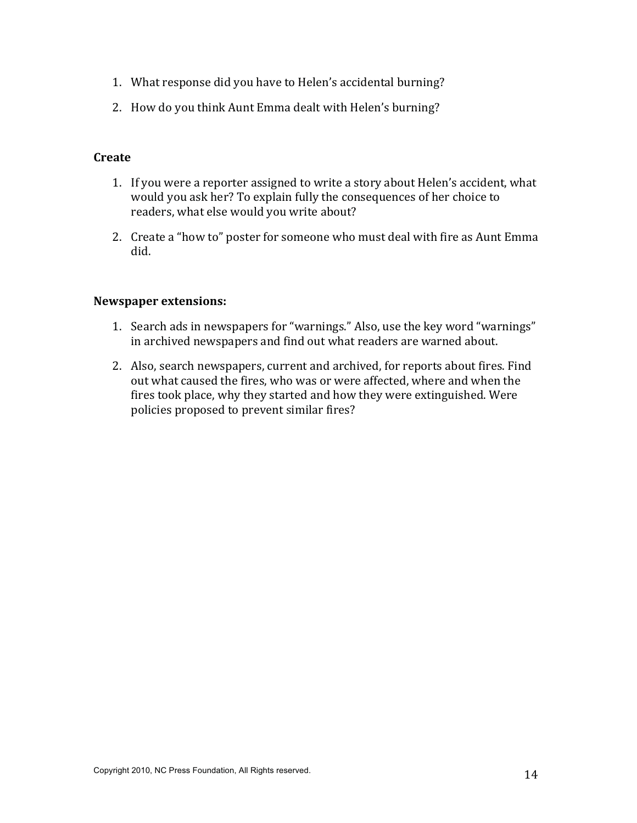- 1. What response did you have to Helen's accidental burning?
- 2. How do you think Aunt Emma dealt with Helen's burning?

- 1. If you were a reporter assigned to write a story about Helen's accident, what would you ask her? To explain fully the consequences of her choice to readers, what else would you write about?
- 2. Create a "how to" poster for someone who must deal with fire as Aunt Emma did.

- 1. Search ads in newspapers for "warnings." Also, use the key word "warnings" in archived newspapers and find out what readers are warned about.
- 2. Also, search newspapers, current and archived, for reports about fires. Find out what caused the fires, who was or were affected, where and when the fires took place, why they started and how they were extinguished. Were policies proposed to prevent similar fires?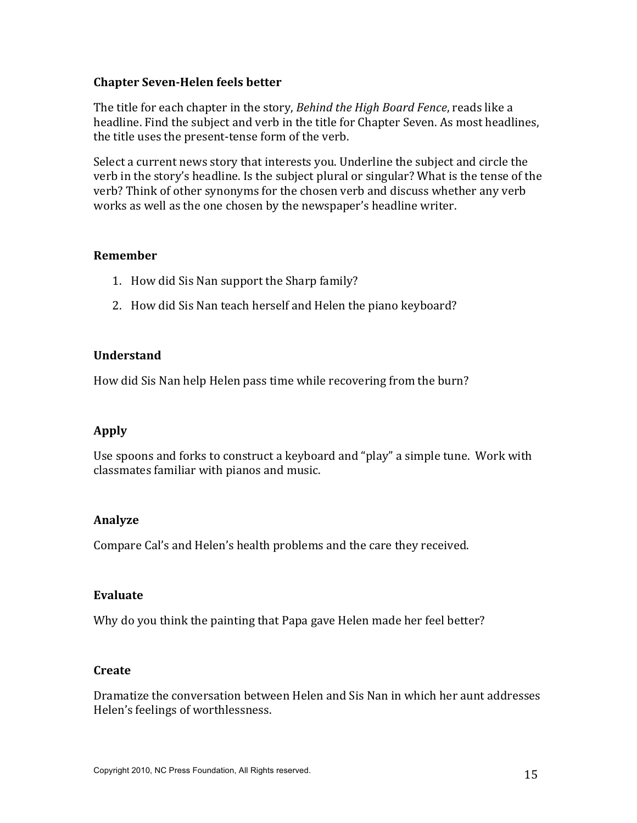# **Chapter Seven-Helen feels better**

The title for each chapter in the story, Behind the High Board Fence, reads like a headline. Find the subject and verb in the title for Chapter Seven. As most headlines, the title uses the present-tense form of the verb.

Select a current news story that interests you. Underline the subject and circle the verb in the story's headline. Is the subject plural or singular? What is the tense of the verb? Think of other synonyms for the chosen verb and discuss whether any verb works as well as the one chosen by the newspaper's headline writer.

#### **Remember**

- 1. How did Sis Nan support the Sharp family?
- 2. How did Sis Nan teach herself and Helen the piano keyboard?

# **Understand**

How did Sis Nan help Helen pass time while recovering from the burn?

# Apply

Use spoons and forks to construct a keyboard and "play" a simple tune. Work with classmates familiar with pianos and music.

# **Analyze**

Compare Cal's and Helen's health problems and the care they received.

# **Evaluate**

Why do you think the painting that Papa gave Helen made her feel better?

#### Create

Dramatize the conversation between Helen and Sis Nan in which her aunt addresses Helen's feelings of worthlessness.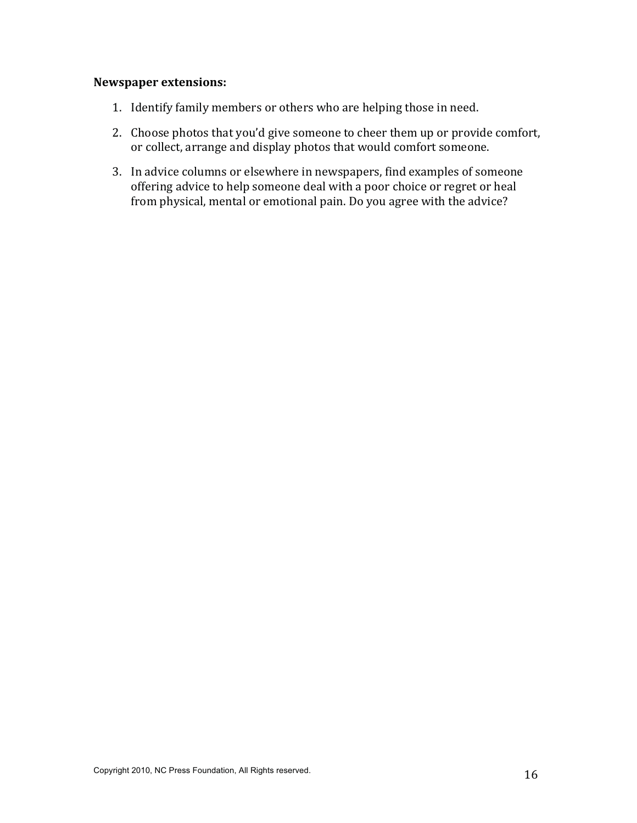- 1. Identify family members or others who are helping those in need.
- 2. Choose photos that you'd give someone to cheer them up or provide comfort, or collect, arrange and display photos that would comfort someone.
- 3. In advice columns or elsewhere in newspapers, find examples of someone offering advice to help someone deal with a poor choice or regret or heal from physical, mental or emotional pain. Do you agree with the advice?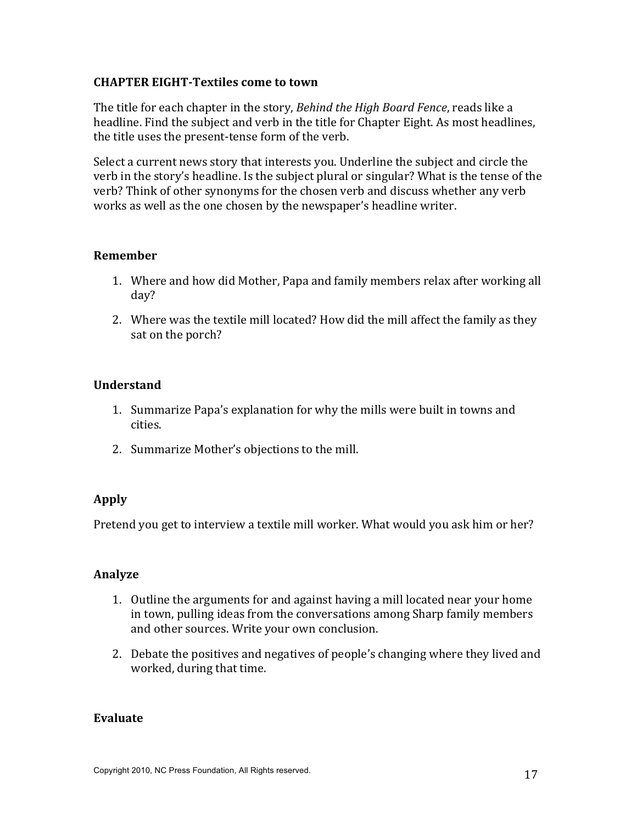# **CHAPTER EIGHT-Textiles come to town**

The title for each chapter in the story, Behind the High Board Fence, reads like a headline. Find the subject and verb in the title for Chapter Eight. As most headlines, the title uses the present-tense form of the verb.

Select a current news story that interests you. Underline the subject and circle the verb in the story's headline. Is the subject plural or singular? What is the tense of the verb? Think of other synonyms for the chosen verb and discuss whether any verb works as well as the one chosen by the newspaper's headline writer.

#### **Remember**

- 1. Where and how did Mother, Papa and family members relax after working all day?
- 2. Where was the textile mill located? How did the mill affect the family as they sat on the porch?

# **Understand**

- 1. Summarize Papa's explanation for why the mills were built in towns and cities.
- 2. Summarize Mother's objections to the mill.

# **Apply**

Pretend you get to interview a textile mill worker. What would you ask him or her?

#### **Analyze**

- 1. Outline the arguments for and against having a mill located near your home in town, pulling ideas from the conversations among Sharp family members and other sources. Write your own conclusion.
- 2. Debate the positives and negatives of people's changing where they lived and worked, during that time.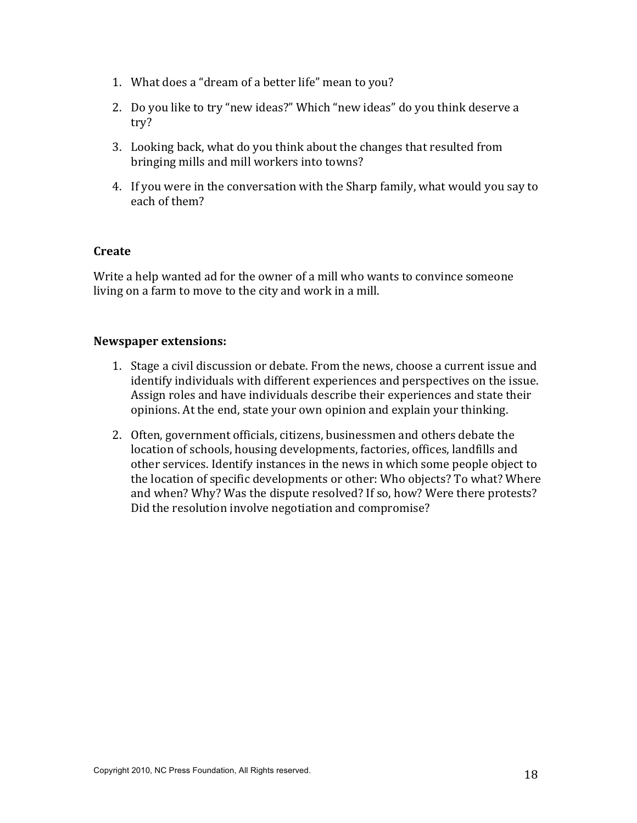- 1. What does a "dream of a better life" mean to you?
- 2. Do you like to try "new ideas?" Which "new ideas" do you think deserve a try?
- 3. Looking back, what do you think about the changes that resulted from bringing mills and mill workers into towns?
- 4. If you were in the conversation with the Sharp family, what would you say to each of them?

Write a help wanted ad for the owner of a mill who wants to convince someone living on a farm to move to the city and work in a mill.

- 1. Stage a civil discussion or debate. From the news, choose a current issue and identify individuals with different experiences and perspectives on the issue. Assign roles and have individuals describe their experiences and state their opinions. At the end, state your own opinion and explain your thinking.
- 2. Often, government officials, citizens, businessmen and others debate the location of schools, housing developments, factories, offices, landfills and other services. Identify instances in the news in which some people object to the location of specific developments or other: Who objects? To what? Where and when? Why? Was the dispute resolved? If so, how? Were there protests? Did the resolution involve negotiation and compromise?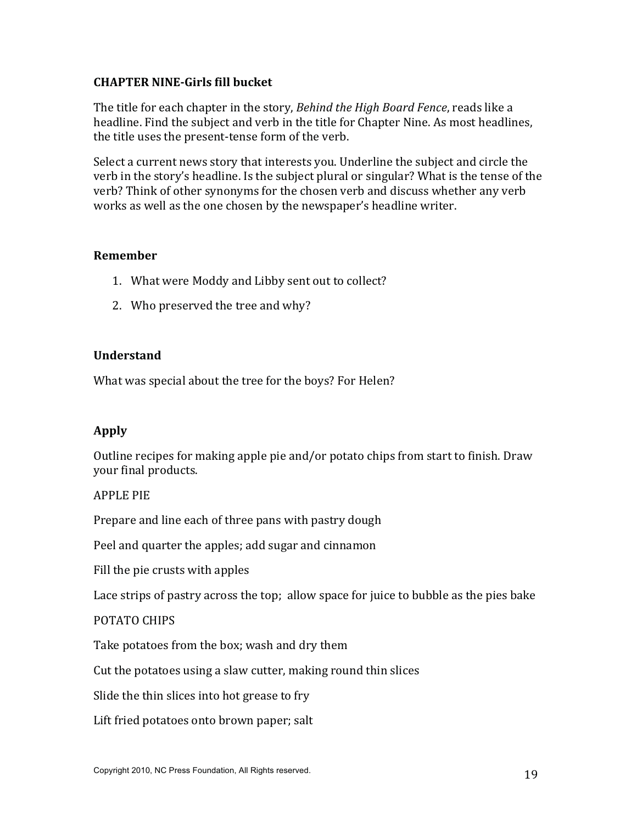# **CHAPTER NINE-Girls fill bucket**

The title for each chapter in the story, *Behind the High Board Fence*, reads like a headline. Find the subject and verb in the title for Chapter Nine. As most headlines, the title uses the present-tense form of the verb.

Select a current news story that interests you. Underline the subject and circle the verb in the story's headline. Is the subject plural or singular? What is the tense of the verb? Think of other synonyms for the chosen verb and discuss whether any verb works as well as the one chosen by the newspaper's headline writer.

# **Remember**

- 1. What were Moddy and Libby sent out to collect?
- 2. Who preserved the tree and why?

# **Understand**

What was special about the tree for the boys? For Helen?

# Apply

Outline recipes for making apple pie and/or potato chips from start to finish. Draw your final products.

# **APPLE PIE**

Prepare and line each of three pans with pastry dough

Peel and quarter the apples; add sugar and cinnamon

Fill the pie crusts with apples

Lace strips of pastry across the top: allow space for juice to bubble as the pies bake

# POTATO CHIPS

Take potatoes from the box; wash and dry them

Cut the potatoes using a slaw cutter, making round thin slices

Slide the thin slices into hot grease to fry

Lift fried potatoes onto brown paper; salt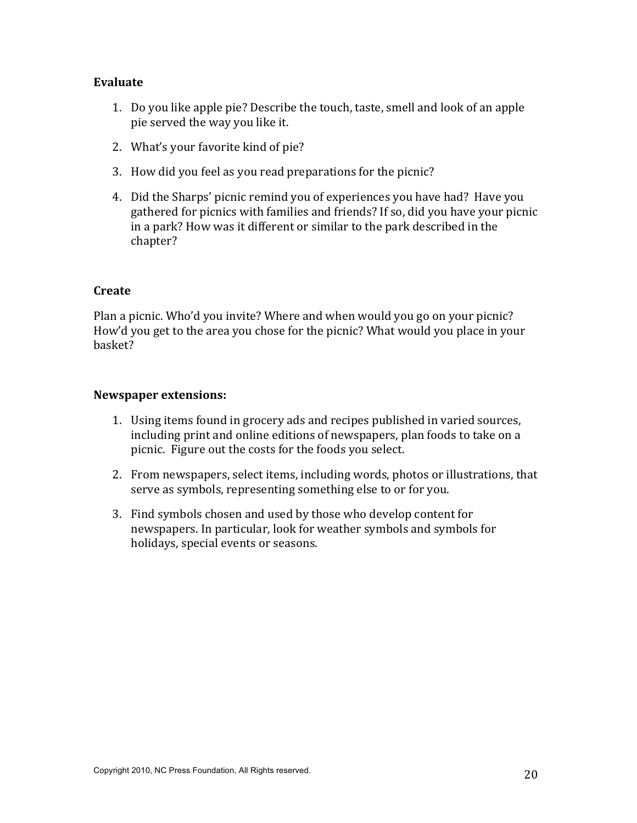# Evaluate

- 1. Do you like apple pie? Describe the touch, taste, smell and look of an apple pie served the way you like it.
- 2. What's your favorite kind of pie?
- 3. How did you feel as you read preparations for the picnic?
- 4. Did the Sharps' picnic remind you of experiences you have had? Have you gathered for picnics with families and friends? If so, did you have your picnic in a park? How was it different or similar to the park described in the chapter?

# **Create**

Plan a picnic. Who'd you invite? Where and when would you go on your picnic? How'd you get to the area you chose for the picnic? What would you place in your hasket?

- 1. Using items found in grocery ads and recipes published in varied sources, including print and online editions of newspapers, plan foods to take on a picnic. Figure out the costs for the foods you select.
- 2. From newspapers, select items, including words, photos or illustrations, that serve as symbols, representing something else to or for you.
- 3. Find symbols chosen and used by those who develop content for newspapers. In particular, look for weather symbols and symbols for holidays, special events or seasons.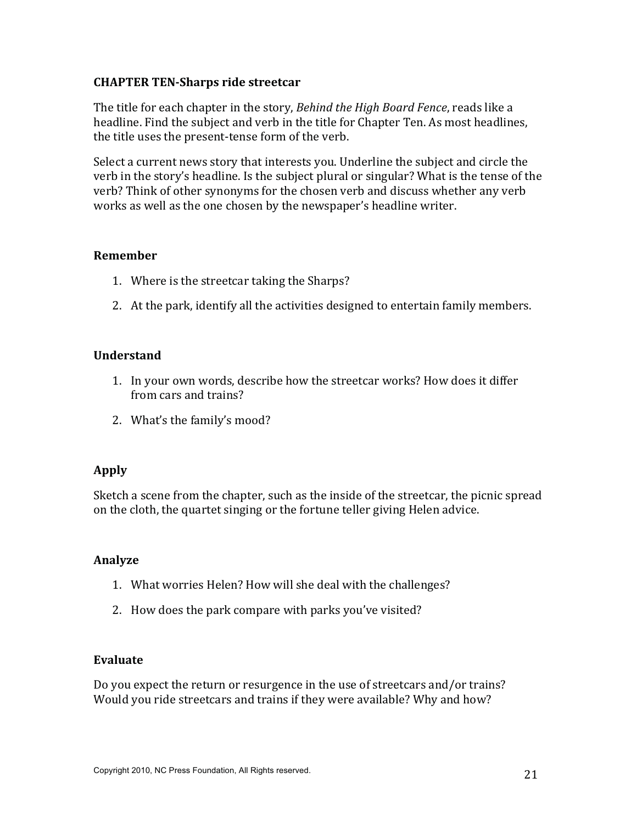# **CHAPTER TEN-Sharps ride streetcar**

The title for each chapter in the story, Behind the High Board Fence, reads like a headline. Find the subject and verb in the title for Chapter Ten. As most headlines, the title uses the present-tense form of the verb.

Select a current news story that interests you. Underline the subject and circle the verb in the story's headline. Is the subject plural or singular? What is the tense of the verb? Think of other synonyms for the chosen verb and discuss whether any verb works as well as the one chosen by the newspaper's headline writer.

#### Remember

- 1. Where is the streetcar taking the Sharps?
- 2. At the park, identify all the activities designed to entertain family members.

# **Understand**

- 1. In your own words, describe how the streetcar works? How does it differ from cars and trains?
- 2. What's the family's mood?

#### Apply

Sketch a scene from the chapter, such as the inside of the streetcar, the picnic spread on the cloth, the quartet singing or the fortune teller giving Helen advice.

#### **Analyze**

- 1. What worries Helen? How will she deal with the challenges?
- 2. How does the park compare with parks you've visited?

#### Evaluate

Do you expect the return or resurgence in the use of streetcars and/or trains? Would you ride streetcars and trains if they were available? Why and how?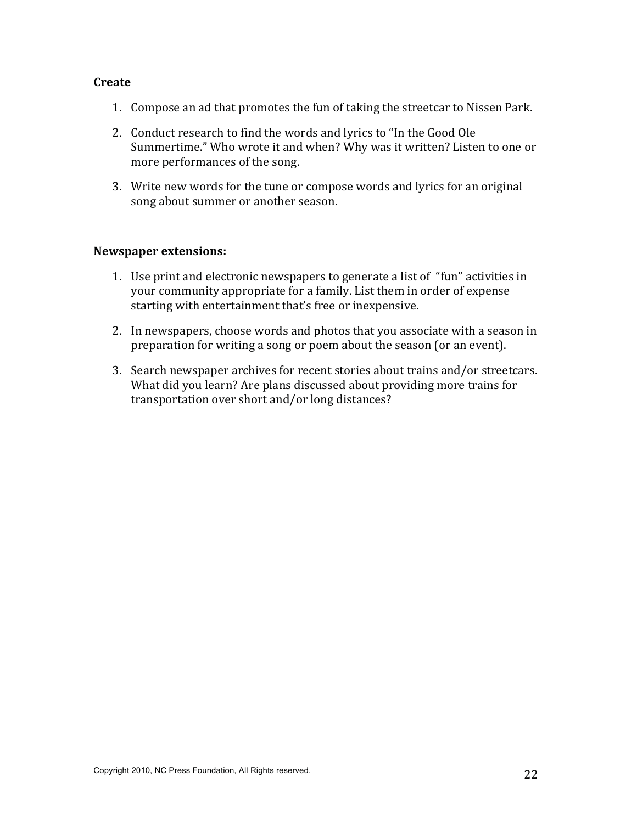- 1. Compose an ad that promotes the fun of taking the streetcar to Nissen Park.
- 2. Conduct research to find the words and lyrics to "In the Good Ole Summertime." Who wrote it and when? Why was it written? Listen to one or more performances of the song.
- 3. Write new words for the tune or compose words and lyrics for an original song about summer or another season.

- 1. Use print and electronic newspapers to generate a list of "fun" activities in your community appropriate for a family. List them in order of expense starting with entertainment that's free or inexpensive.
- 2. In newspapers, choose words and photos that you associate with a season in preparation for writing a song or poem about the season (or an event).
- 3. Search newspaper archives for recent stories about trains and/or streetcars. What did you learn? Are plans discussed about providing more trains for transportation over short and/or long distances?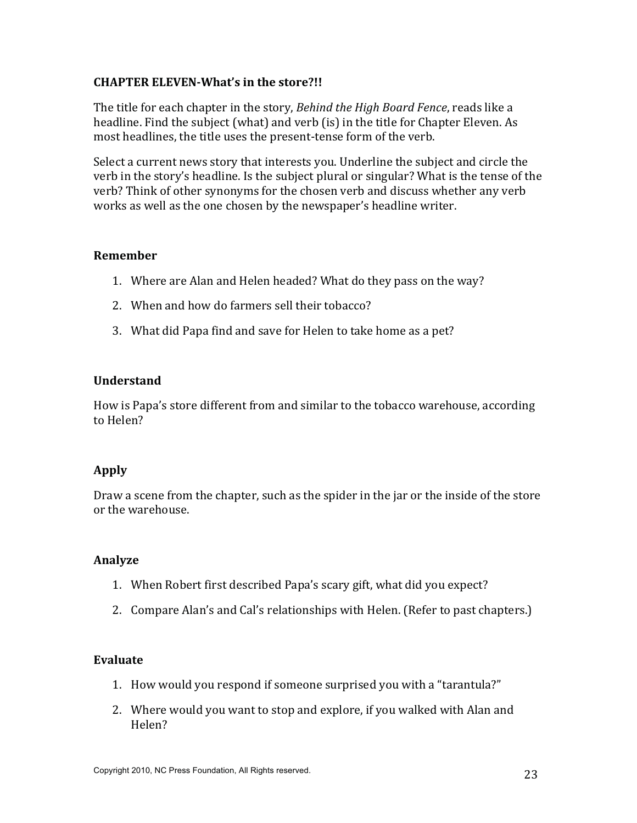# **CHAPTER ELEVEN-What's in the store?!!**

The title for each chapter in the story, Behind the High Board Fence, reads like a headline. Find the subject (what) and verb (is) in the title for Chapter Eleven. As most headlines, the title uses the present-tense form of the verb.

Select a current news story that interests you. Underline the subject and circle the verb in the story's headline. Is the subject plural or singular? What is the tense of the verb? Think of other synonyms for the chosen verb and discuss whether any verb works as well as the one chosen by the newspaper's headline writer.

# **Remember**

- 1. Where are Alan and Helen headed? What do they pass on the way?
- 2. When and how do farmers sell their tobacco?
- 3. What did Papa find and save for Helen to take home as a pet?

# **Understand**

How is Papa's store different from and similar to the tobacco warehouse, according to Helen?

# Apply

Draw a scene from the chapter, such as the spider in the jar or the inside of the store or the warehouse.

#### **Analyze**

- 1. When Robert first described Papa's scary gift, what did you expect?
- 2. Compare Alan's and Cal's relationships with Helen. (Refer to past chapters.)

- 1. How would you respond if someone surprised you with a "tarantula?"
- 2. Where would you want to stop and explore, if you walked with Alan and Helen?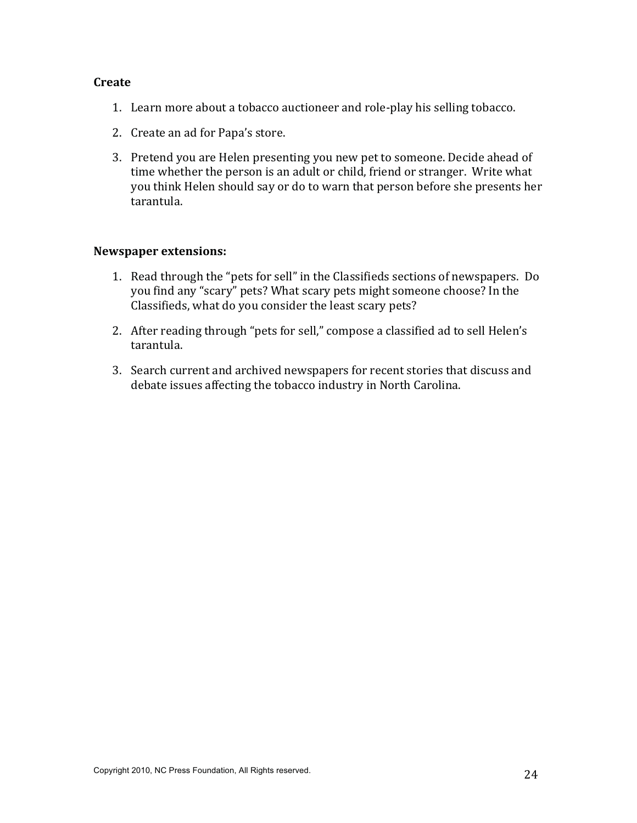- 1. Learn more about a tobacco auctioneer and role-play his selling tobacco.
- 2. Create an ad for Papa's store.
- 3. Pretend you are Helen presenting you new pet to someone. Decide ahead of time whether the person is an adult or child, friend or stranger. Write what you think Helen should say or do to warn that person before she presents her tarantula.

- 1. Read through the "pets for sell" in the Classifieds sections of newspapers. Do you find any "scary" pets? What scary pets might someone choose? In the Classifieds, what do you consider the least scary pets?
- 2. After reading through "pets for sell," compose a classified ad to sell Helen's tarantula.
- 3. Search current and archived newspapers for recent stories that discuss and debate issues affecting the tobacco industry in North Carolina.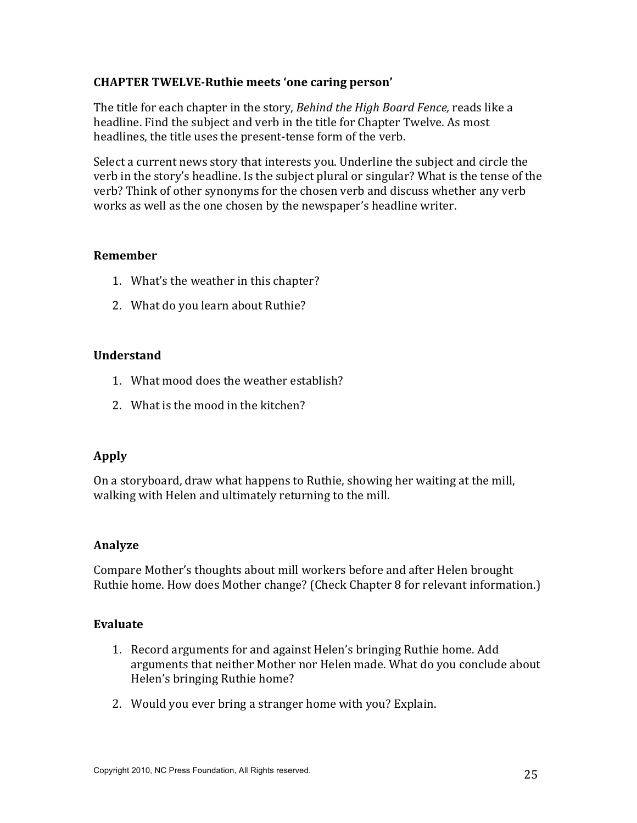# **CHAPTER TWELVE-Ruthie meets 'one caring person'**

The title for each chapter in the story, Behind the High Board Fence, reads like a headline. Find the subject and verb in the title for Chapter Twelve. As most headlines, the title uses the present-tense form of the verb.

Select a current news story that interests you. Underline the subject and circle the verb in the story's headline. Is the subject plural or singular? What is the tense of the verb? Think of other synonyms for the chosen verb and discuss whether any verb works as well as the one chosen by the newspaper's headline writer.

#### Remember

- 1. What's the weather in this chapter?
- 2. What do you learn about Ruthie?

#### **Understand**

- 1. What mood does the weather establish?
- 2. What is the mood in the kitchen?

#### Apply

On a storyboard, draw what happens to Ruthie, showing her waiting at the mill, walking with Helen and ultimately returning to the mill.

#### Analyze

Compare Mother's thoughts about mill workers before and after Helen brought Ruthie home. How does Mother change? (Check Chapter 8 for relevant information.)

- 1. Record arguments for and against Helen's bringing Ruthie home. Add arguments that neither Mother nor Helen made. What do you conclude about Helen's bringing Ruthie home?
- 2. Would you ever bring a stranger home with you? Explain.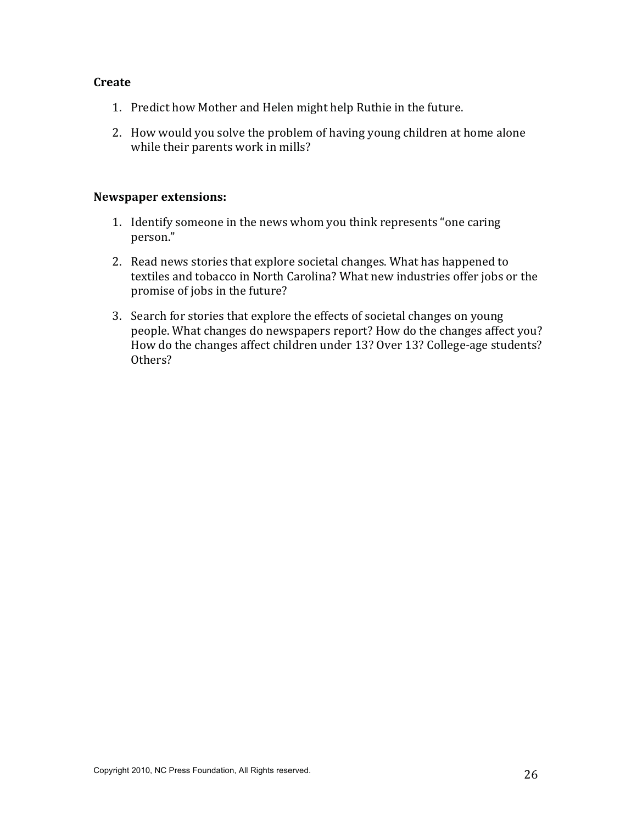- 1. Predict how Mother and Helen might help Ruthie in the future.
- 2. How would you solve the problem of having young children at home alone while their parents work in mills?

- 1. Identify someone in the news whom you think represents "one caring person."
- 2. Read news stories that explore societal changes. What has happened to textiles and tobacco in North Carolina? What new industries offer jobs or the promise of jobs in the future?
- 3. Search for stories that explore the effects of societal changes on young people. What changes do newspapers report? How do the changes affect you? How do the changes affect children under 13? Over 13? College-age students? Others?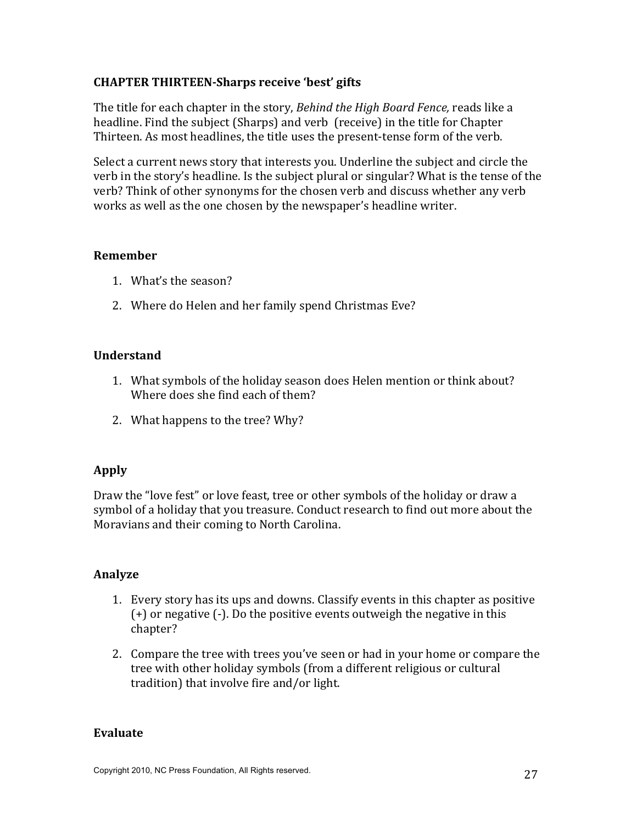# **CHAPTER THIRTEEN-Sharps receive 'best' gifts**

The title for each chapter in the story, Behind the High Board Fence, reads like a headline. Find the subject (Sharps) and verb (receive) in the title for Chapter Thirteen. As most headlines, the title uses the present-tense form of the verb.

Select a current news story that interests you. Underline the subject and circle the verb in the story's headline. Is the subject plural or singular? What is the tense of the verb? Think of other synonyms for the chosen verb and discuss whether any verb works as well as the one chosen by the newspaper's headline writer.

# **Remember**

- 1. What's the season?
- 2. Where do Helen and her family spend Christmas Eve?

# **Understand**

- 1. What symbols of the holiday season does Helen mention or think about? Where does she find each of them?
- 2. What happens to the tree? Why?

#### Apply

Draw the "love fest" or love feast, tree or other symbols of the holiday or draw a symbol of a holiday that you treasure. Conduct research to find out more about the Moravians and their coming to North Carolina.

#### **Analyze**

- 1. Every story has its ups and downs. Classify events in this chapter as positive  $(+)$  or negative  $(-)$ . Do the positive events outweigh the negative in this chapter?
- 2. Compare the tree with trees you've seen or had in your home or compare the tree with other holiday symbols (from a different religious or cultural tradition) that involve fire and/or light.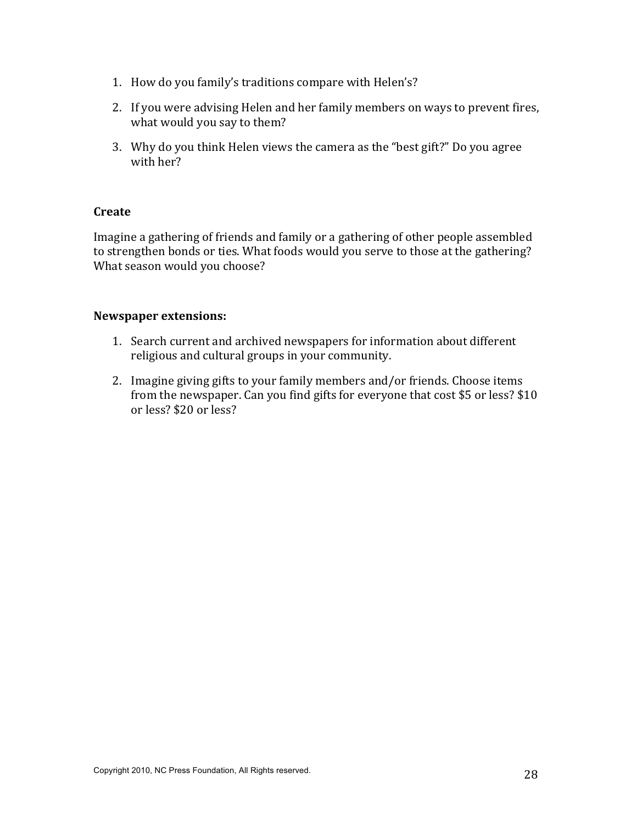- 1. How do you family's traditions compare with Helen's?
- 2. If you were advising Helen and her family members on ways to prevent fires, what would you say to them?
- 3. Why do you think Helen views the camera as the "best gift?" Do you agree with her?

Imagine a gathering of friends and family or a gathering of other people assembled to strengthen bonds or ties. What foods would you serve to those at the gathering? What season would you choose?

- 1. Search current and archived newspapers for information about different religious and cultural groups in your community.
- 2. Imagine giving gifts to your family members and/or friends. Choose items from the newspaper. Can you find gifts for everyone that cost \$5 or less? \$10 or less? \$20 or less?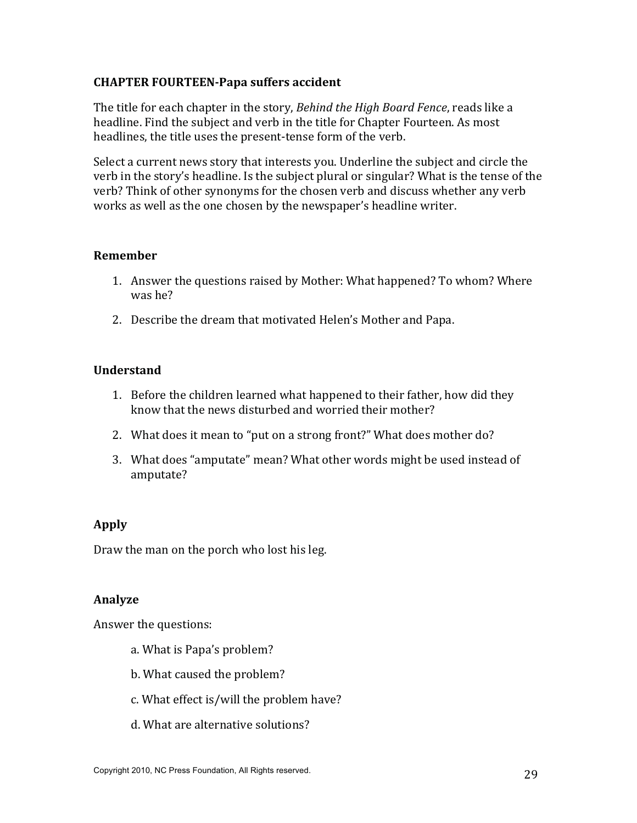# **CHAPTER FOURTEEN-Papa suffers accident**

The title for each chapter in the story, *Behind the High Board Fence*, reads like a headline. Find the subject and verb in the title for Chapter Fourteen. As most headlines, the title uses the present-tense form of the verb.

Select a current news story that interests you. Underline the subject and circle the verb in the story's headline. Is the subject plural or singular? What is the tense of the verb? Think of other synonyms for the chosen verb and discuss whether any verb works as well as the one chosen by the newspaper's headline writer.

# **Remember**

- 1. Answer the questions raised by Mother: What happened? To whom? Where was he?
- 2. Describe the dream that motivated Helen's Mother and Papa.

# **Understand**

- 1. Before the children learned what happened to their father, how did they know that the news disturbed and worried their mother?
- 2. What does it mean to "put on a strong front?" What does mother do?
- 3. What does "amputate" mean? What other words might be used instead of amputate?

# Apply

Draw the man on the porch who lost his leg.

# **Analyze**

Answer the questions:

- a. What is Papa's problem?
- b. What caused the problem?
- c. What effect is/will the problem have?
- d. What are alternative solutions?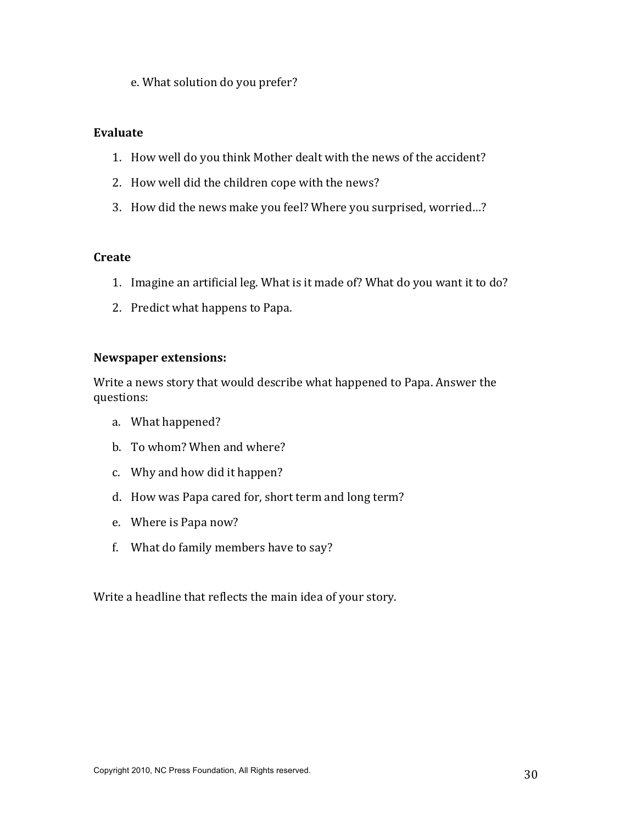e. What solution do you prefer?

# **Evaluate**

- 1. How well do you think Mother dealt with the news of the accident?
- 2. How well did the children cope with the news?
- 3. How did the news make you feel? Where you surprised, worried...?

# **Create**

- 1. Imagine an artificial leg. What is it made of? What do you want it to do?
- 2. Predict what happens to Papa.

# **Newspaper extensions:**

Write a news story that would describe what happened to Papa. Answer the questions:

- a. What happened?
- b. To whom? When and where?
- c. Why and how did it happen?
- d. How was Papa cared for, short term and long term?
- e. Where is Papa now?
- f. What do family members have to say?

Write a headline that reflects the main idea of your story.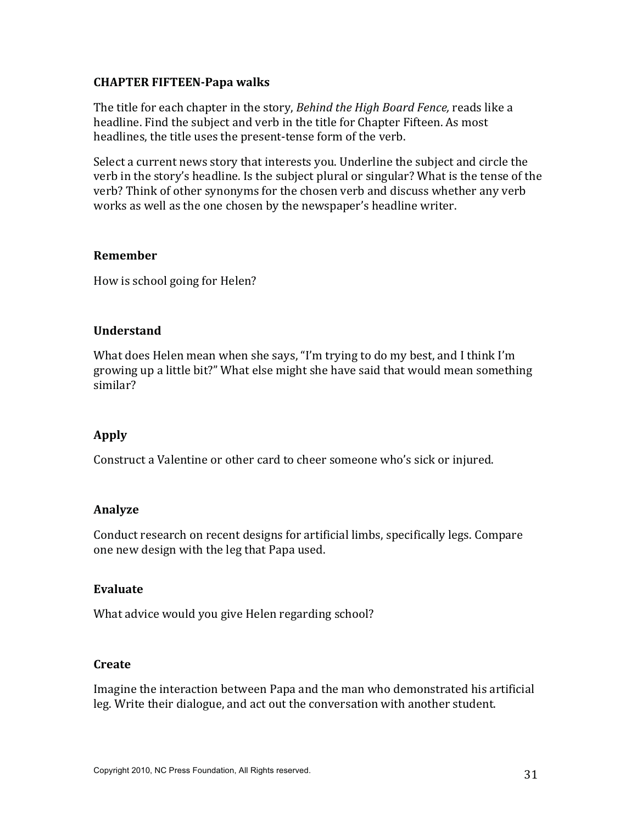## **CHAPTER FIFTEEN-Papa walks**

The title for each chapter in the story, Behind the High Board Fence, reads like a headline. Find the subject and verb in the title for Chapter Fifteen. As most headlines, the title uses the present-tense form of the verb.

Select a current news story that interests you. Underline the subject and circle the verb in the story's headline. Is the subject plural or singular? What is the tense of the verb? Think of other synonyms for the chosen verb and discuss whether any verb works as well as the one chosen by the newspaper's headline writer.

#### Remember

How is school going for Helen?

# **Understand**

What does Helen mean when she says, "I'm trying to do my best, and I think I'm growing up a little bit?" What else might she have said that would mean something similar?

# Apply

Construct a Valentine or other card to cheer someone who's sick or injured.

#### Analyze

Conduct research on recent designs for artificial limbs, specifically legs. Compare one new design with the leg that Papa used.

#### Evaluate

What advice would you give Helen regarding school?

#### **Create**

Imagine the interaction between Papa and the man who demonstrated his artificial leg. Write their dialogue, and act out the conversation with another student.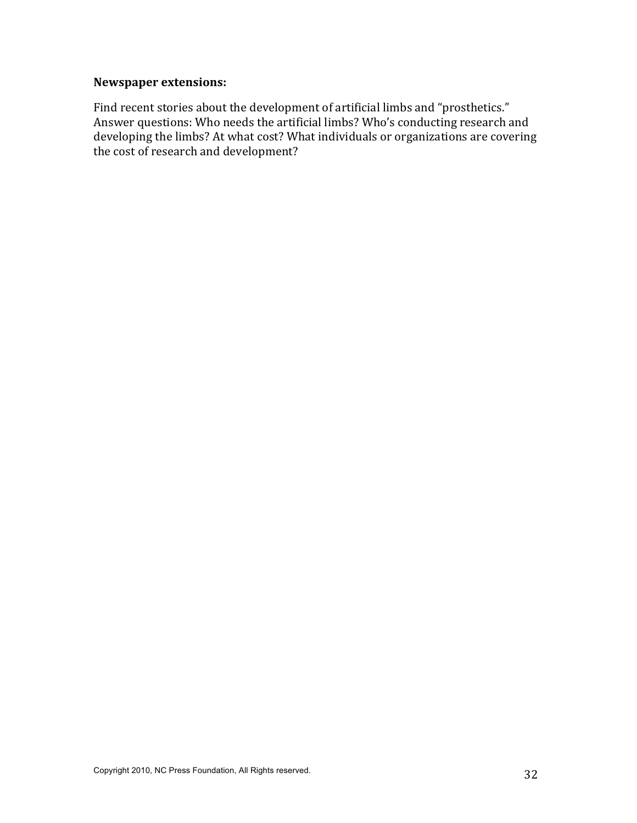# **Newspaper extensions:**

Find recent stories about the development of artificial limbs and "prosthetics." Answer questions: Who needs the artificial limbs? Who's conducting research and developing the limbs? At what cost? What individuals or organizations are covering the cost of research and development?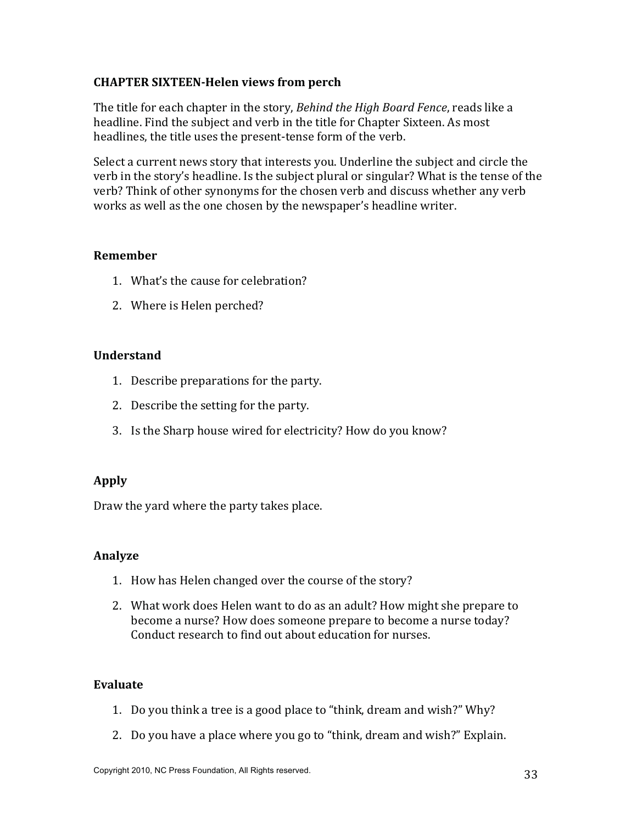# **CHAPTER SIXTEEN-Helen views from perch**

The title for each chapter in the story, Behind the High Board Fence, reads like a headline. Find the subject and verb in the title for Chapter Sixteen. As most headlines, the title uses the present-tense form of the verb.

Select a current news story that interests you. Underline the subject and circle the verb in the story's headline. Is the subject plural or singular? What is the tense of the verb? Think of other synonyms for the chosen verb and discuss whether any verb works as well as the one chosen by the newspaper's headline writer.

#### **Remember**

- 1. What's the cause for celebration?
- 2. Where is Helen perched?

#### **Understand**

- 1. Describe preparations for the party.
- 2. Describe the setting for the party.
- 3. Is the Sharp house wired for electricity? How do you know?

#### **Apply**

Draw the yard where the party takes place.

#### **Analyze**

- 1. How has Helen changed over the course of the story?
- 2. What work does Helen want to do as an adult? How might she prepare to become a nurse? How does someone prepare to become a nurse today? Conduct research to find out about education for nurses.

- 1. Do you think a tree is a good place to "think, dream and wish?" Why?
- 2. Do you have a place where you go to "think, dream and wish?" Explain.